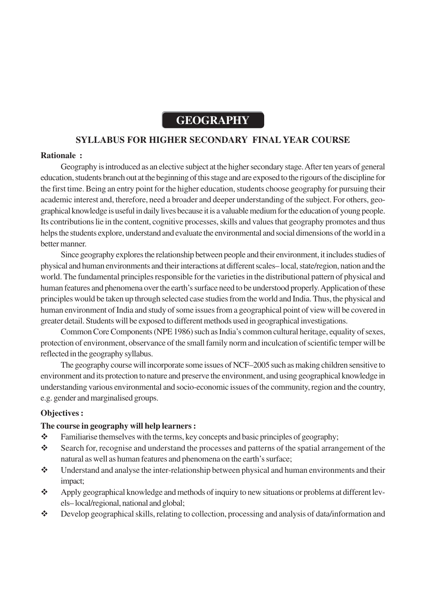# **GEOGRAPHY**

# **SYLLABUS FOR HIGHER SECONDARY FINAL YEAR COURSE**

#### **Rationale :**

Geography is introduced as an elective subject at the higher secondary stage. After ten years of general education, students branch out at the beginning of this stage and are exposed to the rigours of the discipline for the first time. Being an entry point for the higher education, students choose geography for pursuing their academic interest and, therefore, need a broader and deeper understanding of the subject. For others, geographical knowledge is useful in daily lives because it is a valuable medium for the education of young people. Its contributions lie in the content, cognitive processes, skills and values that geography promotes and thus helps the students explore, understand and evaluate the environmental and social dimensions of the world in a better manner.

Since geography explores the relationship between people and their environment, it includes studies of physical and human environments and their interactions at different scales– local, state/region, nation and the world. The fundamental principles responsible for the varieties in the distributional pattern of physical and human features and phenomena over the earth's surface need to be understood properly. Application of these principles would be taken up through selected case studies from the world and India. Thus, the physical and human environment of India and study of some issues from a geographical point of view will be covered in greater detail. Students will be exposed to different methods used in geographical investigations.

Common Core Components (NPE 1986) such as India's common cultural heritage, equality of sexes, protection of environment, observance of the small family norm and inculcation of scientific temper will be reflected in the geography syllabus.

The geography course will incorporate some issues of NCF–2005 such as making children sensitive to environment and its protection to nature and preserve the environment, and using geographical knowledge in understanding various environmental and socio-economic issues of the community, region and the country, e.g. gender and marginalised groups.

#### **Objectives :**

#### **The course in geography will help learners :**

- \* Familiarise themselves with the terms, key concepts and basic principles of geography;
- Search for, recognise and understand the processes and patterns of the spatial arrangement of the natural as well as human features and phenomena on the earth's surface;
- Understand and analyse the inter-relationship between physical and human environments and their impact;
- Apply geographical knowledge and methods of inquiry to new situations or problems at different levels– local/regional, national and global;
- Develop geographical skills, relating to collection, processing and analysis of data/information and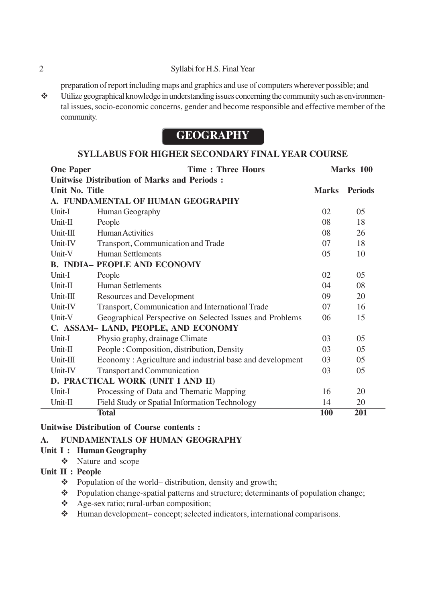#### 2 Syllabi for H.S. Final Year

preparation of report including maps and graphics and use of computers wherever possible; and

 $\triangle$  Utilize geographical knowledge in understanding issues concerning the community such as environmental issues, socio-economic concerns, gender and become responsible and effective member of the community.

# **GEOGRAPHY**

# **SYLLABUS FOR HIGHER SECONDARY FINAL YEAR COURSE**

| <b>One Paper</b><br><b>Time: Three Hours</b> |                                                          | Marks 100    |                |
|----------------------------------------------|----------------------------------------------------------|--------------|----------------|
|                                              | <b>Unitwise Distribution of Marks and Periods:</b>       |              |                |
| Unit No. Title                               |                                                          | <b>Marks</b> | <b>Periods</b> |
|                                              | A. FUNDAMENTAL OF HUMAN GEOGRAPHY                        |              |                |
| Unit-I                                       | Human Geography                                          | 02           | 05             |
| Unit-II                                      | People                                                   | 08           | 18             |
| $Unit-III$                                   | <b>Human Activities</b>                                  | 08           | 26             |
| Unit-IV                                      | Transport, Communication and Trade                       | 07           | 18             |
| Unit-V                                       | <b>Human Settlements</b>                                 | 05           | 10             |
|                                              | <b>B. INDIA- PEOPLE AND ECONOMY</b>                      |              |                |
| Unit-I                                       | People                                                   | 02           | 05             |
| $Unit-II$                                    | <b>Human Settlements</b>                                 | 04           | 08             |
| $Unit-III$                                   | <b>Resources and Development</b>                         | 09           | 20             |
| Unit-IV                                      | Transport, Communication and International Trade         | 07           | 16             |
| Unit-V                                       | Geographical Perspective on Selected Issues and Problems | 06           | 15             |
|                                              | C. ASSAM- LAND, PEOPLE, AND ECONOMY                      |              |                |
| Unit-I                                       | Physio graphy, drainage Climate                          | 03           | 05             |
| $Unit-II$                                    | People: Composition, distribution, Density               | 03           | 05             |
| Unit-III                                     | Economy: Agriculture and industrial base and development | 03           | 05             |
| Unit-IV                                      | <b>Transport and Communication</b>                       | 03           | 05             |
|                                              | D. PRACTICAL WORK (UNIT I AND II)                        |              |                |
| Unit-I                                       | Processing of Data and Thematic Mapping                  | 16           | 20             |
| Unit-II                                      | Field Study or Spatial Information Technology            | 14           | 20             |
|                                              | <b>Total</b>                                             | <b>100</b>   | 201            |

## **Unitwise Distribution of Course contents :**

## **A. FUNDAMENTALS OF HUMAN GEOGRAPHY**

## **Unit I : Human Geography**

Nature and scope

# **Unit II : People**

- Population of the world– distribution, density and growth;
- \* Population change-spatial patterns and structure; determinants of population change;
- Age-sex ratio; rural-urban composition;
- Human development– concept; selected indicators, international comparisons.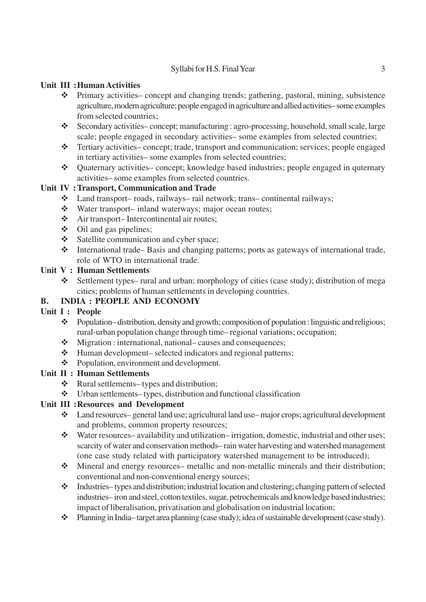# Syllabi for H.S. Final Year 3

## **Unit III :Human Activities**

- Primary activities– concept and changing trends; gathering, pastoral, mining, subsistence agriculture, modern agriculture; people engaged in agriculture and allied activities– some examples from selected countries;
- Secondary activities– concept; manufacturing : agro-processing, household, small scale, large scale; people engaged in secondary activities– some examples from selected countries;
- Tertiary activities– concept; trade, transport and communication; services; people engaged in tertiary activities– some examples from selected countries;
- Quaternary activities– concept; knowledge based industries; people engaged in quternary activities– some examples from selected countries.

## **Unit IV : Transport, Communication and Trade**

- Land transport– roads, railways– rail network; trans– continental railways;
- Water transport– inland waterways; major ocean routes;
- Air transport– Intercontinental air routes;
- $\div$  Oil and gas pipelines;
- Satellite communication and cyber space;
- International trade– Basis and changing patterns; ports as gateways of international trade, role of WTO in international trade.

## **Unit V : Human Settlements**

 Settlement types– rural and urban; morphology of cities (case study); distribution of mega cities; problems of human settlements in developing countries.

# **B. INDIA : PEOPLE AND ECONOMY**

# **Unit I : People**

- \* Population–distribution, density and growth; composition of population : linguistic and religious; rural-urban population change through time– regional variations; occupation;
- $\triangle$  Migration : international, national– causes and consequences;
- $\triangle$  Human development– selected indicators and regional patterns;
- ❖ Population, environment and development.

## **Unit II : Human Settlements**

- Rural settlements– types and distribution;
- $\triangleleft$  Urban settlements– types, distribution and functional classification

# **Unit III :Resources and Development**

- Land resources– general land use; agricultural land use– major crops; agricultural development and problems, common property resources;
- Water resources– availability and utilization– irrigation, domestic, industrial and other uses; scarcity of water and conservation methods– rain water harvesting and watershed management (one case study related with participatory watershed management to be introduced);
- Mineral and energy resources– metallic and non-metallic minerals and their distribution; conventional and non-conventional energy sources;
- Industries– types and distribution; industrial location and clustering; changing pattern of selected industries– iron and steel, cotton textiles, sugar, petrochemicals and knowledge based industries; impact of liberalisation, privatisation and globalisation on industrial location;
- Planning in India– target area planning (case study); idea of sustainable development (case study).